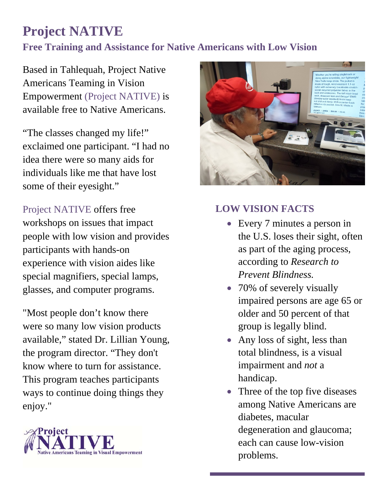## **Project NATIVE Free Training and Assistance for Native Americans with Low Vision**

Based in Tahlequah, Project Native Americans Teaming in Vision Empowerment (Project NATIVE) is available free to Native Americans.

"The classes changed my life!" exclaimed one participant. "I had no idea there were so many aids for individuals like me that have lost some of their eyesight."

Project NATIVE offers free workshops on issues that impact people with low vision and provides participants with hands-on experience with vision aides like special magnifiers, special lamps, glasses, and computer programs.

"Most people don't know there were so many low vision products available," stated Dr. Lillian Young, the program director. "They don't know where to turn for assistance. This program teaches participants ways to continue doing things they enjoy."





## **LOW VISION FACTS**

- Every 7 minutes a person in the U.S. loses their sight, often as part of the aging process, according to *Research to Prevent Blindness.*
- 70% of severely visually impaired persons are age 65 or older and 50 percent of that group is legally blind.
- Any loss of sight, less than total blindness, is a visual impairment and *not* a handicap.
- Three of the top five diseases among Native Americans are diabetes, macular degeneration and glaucoma; each can cause low-vision problems.